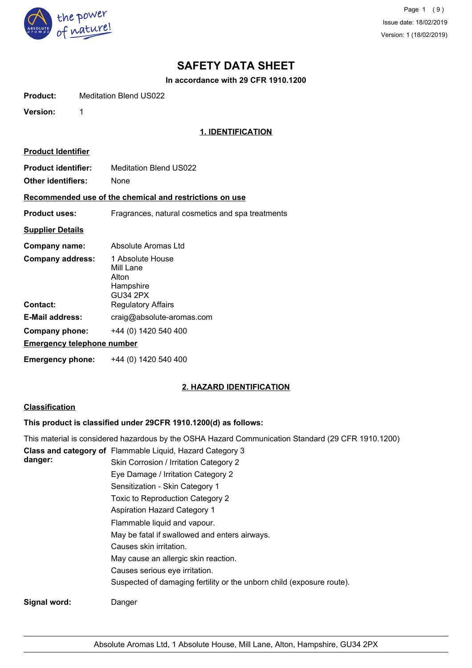

Page 1 (9) Issue date: 18/02/2019 Version: 1 (18/02/2019)

## **SAFETY DATA SHEET**

**In accordance with 29 CFR 1910.1200**

**Product:** Meditation Blend US022

**Version:** 1

## **1. IDENTIFICATION**

| <b>Product Identifier</b>                        |                                                                        |  |
|--------------------------------------------------|------------------------------------------------------------------------|--|
| <b>Product identifier:</b><br>Other identifiers: | <b>Meditation Blend US022</b><br>None                                  |  |
|                                                  | Recommended use of the chemical and restrictions on use                |  |
| <b>Product uses:</b>                             | Fragrances, natural cosmetics and spa treatments                       |  |
| <b>Supplier Details</b>                          |                                                                        |  |
| Company name:                                    | Absolute Aromas Ltd                                                    |  |
| <b>Company address:</b>                          | 1 Absolute House<br>Mill Lane<br>Alton<br>Hampshire<br><b>GU34 2PX</b> |  |
| Contact:                                         | <b>Regulatory Affairs</b>                                              |  |
| E-Mail address:                                  | craig@absolute-aromas.com                                              |  |
| <b>Company phone:</b>                            | +44 (0) 1420 540 400                                                   |  |
| <b>Emergency telephone number</b>                |                                                                        |  |
| Emergency phone:                                 | +44 (0) 1420 540 400                                                   |  |

## **2. HAZARD IDENTIFICATION**

## **Classification**

## **This product is classified under 29CFR 1910.1200(d) as follows:**

|              | This material is considered hazardous by the OSHA Hazard Communication Standard (29 CFR 1910.1200) |
|--------------|----------------------------------------------------------------------------------------------------|
| danger:      | Class and category of Flammable Liquid, Hazard Category 3                                          |
|              | Skin Corrosion / Irritation Category 2                                                             |
|              | Eye Damage / Irritation Category 2                                                                 |
|              | Sensitization - Skin Category 1                                                                    |
|              | Toxic to Reproduction Category 2                                                                   |
|              | <b>Aspiration Hazard Category 1</b>                                                                |
|              | Flammable liquid and vapour.                                                                       |
|              | May be fatal if swallowed and enters airways.                                                      |
|              | Causes skin irritation.                                                                            |
|              | May cause an allergic skin reaction.                                                               |
|              | Causes serious eye irritation.                                                                     |
|              | Suspected of damaging fertility or the unborn child (exposure route).                              |
| Signal word: | Danger                                                                                             |
|              |                                                                                                    |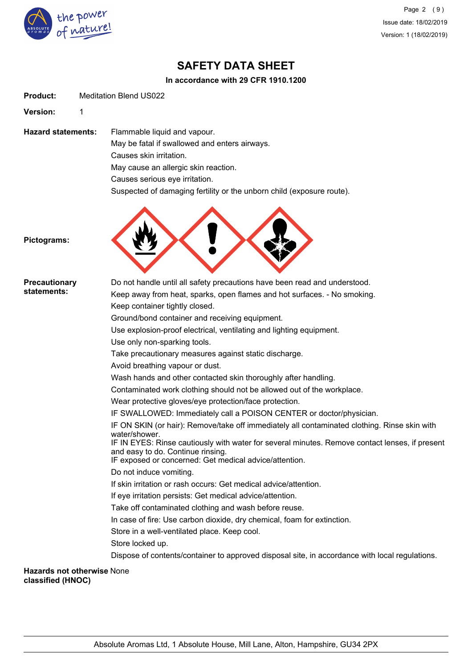

Page 2 (9) Issue date: 18/02/2019 Version: 1 (18/02/2019)

## **SAFETY DATA SHEET**

## **In accordance with 29 CFR 1910.1200**

| <b>Product:</b> | <b>Meditation Blend US022</b> |  |
|-----------------|-------------------------------|--|
|                 |                               |  |

**Version:** 1

**Hazard statements:** Flammable liquid and vapour. May be fatal if swallowed and enters airways. Causes skin irritation. May cause an allergic skin reaction. Causes serious eye irritation.

Suspected of damaging fertility or the unborn child (exposure route).



**Pictograms:**

| <b>Precautionary</b>                                   | Do not handle until all safety precautions have been read and understood.                                                                                                                     |
|--------------------------------------------------------|-----------------------------------------------------------------------------------------------------------------------------------------------------------------------------------------------|
| statements:                                            | Keep away from heat, sparks, open flames and hot surfaces. - No smoking.                                                                                                                      |
|                                                        | Keep container tightly closed.                                                                                                                                                                |
|                                                        | Ground/bond container and receiving equipment.                                                                                                                                                |
|                                                        | Use explosion-proof electrical, ventilating and lighting equipment.                                                                                                                           |
|                                                        | Use only non-sparking tools.                                                                                                                                                                  |
|                                                        | Take precautionary measures against static discharge.                                                                                                                                         |
|                                                        | Avoid breathing vapour or dust.                                                                                                                                                               |
|                                                        | Wash hands and other contacted skin thoroughly after handling.                                                                                                                                |
|                                                        | Contaminated work clothing should not be allowed out of the workplace.                                                                                                                        |
|                                                        | Wear protective gloves/eye protection/face protection.                                                                                                                                        |
|                                                        | IF SWALLOWED: Immediately call a POISON CENTER or doctor/physician.                                                                                                                           |
|                                                        | IF ON SKIN (or hair): Remove/take off immediately all contaminated clothing. Rinse skin with<br>water/shower.                                                                                 |
|                                                        | IF IN EYES: Rinse cautiously with water for several minutes. Remove contact lenses, if present<br>and easy to do. Continue rinsing.<br>IF exposed or concerned: Get medical advice/attention. |
|                                                        | Do not induce vomiting.                                                                                                                                                                       |
|                                                        | If skin irritation or rash occurs: Get medical advice/attention.                                                                                                                              |
|                                                        | If eye irritation persists: Get medical advice/attention.                                                                                                                                     |
|                                                        | Take off contaminated clothing and wash before reuse.                                                                                                                                         |
|                                                        | In case of fire: Use carbon dioxide, dry chemical, foam for extinction.                                                                                                                       |
|                                                        | Store in a well-ventilated place. Keep cool.                                                                                                                                                  |
|                                                        | Store locked up.                                                                                                                                                                              |
|                                                        | Dispose of contents/container to approved disposal site, in accordance with local regulations.                                                                                                |
| <b>Hazards not otherwise None</b><br>classified (HNOC) |                                                                                                                                                                                               |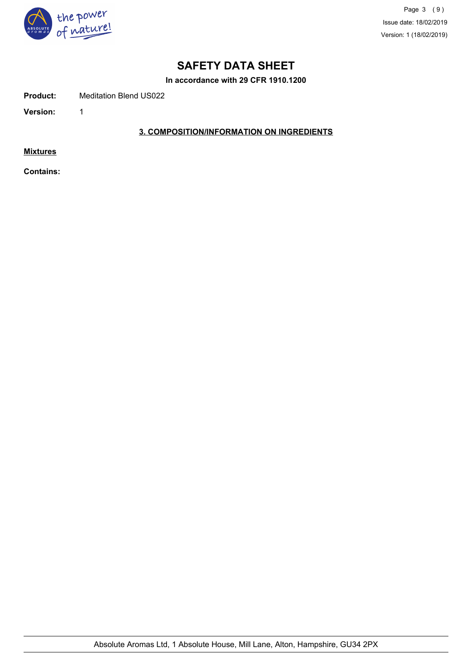

Page 3 (9) Issue date: 18/02/2019 Version: 1 (18/02/2019)

## **SAFETY DATA SHEET**

**In accordance with 29 CFR 1910.1200**

**Product:** Meditation Blend US022

**Version:** 1

## **3. COMPOSITION/INFORMATION ON INGREDIENTS**

**Mixtures**

**Contains:**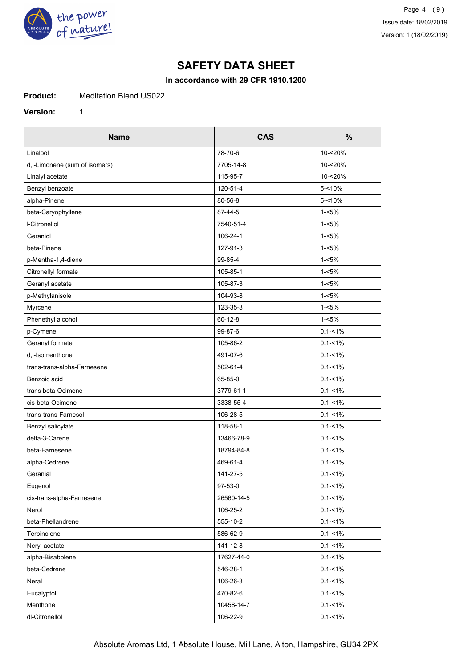

## **In accordance with 29 CFR 1910.1200**

**Product:** Meditation Blend US022

**Version:** 1

| <b>Name</b>                    | <b>CAS</b>    | $\%$        |
|--------------------------------|---------------|-------------|
| Linalool                       | 78-70-6       | 10-<20%     |
| d, I-Limonene (sum of isomers) | 7705-14-8     | 10-<20%     |
| Linalyl acetate                | 115-95-7      | 10-<20%     |
| Benzyl benzoate                | 120-51-4      | $5 - 10%$   |
| alpha-Pinene                   | 80-56-8       | $5 - 10%$   |
| beta-Caryophyllene             | 87-44-5       | $1 - 5%$    |
| <b>I-Citronellol</b>           | 7540-51-4     | $1 - 5%$    |
| Geraniol                       | 106-24-1      | $1 - 5%$    |
| beta-Pinene                    | 127-91-3      | $1 - 5%$    |
| p-Mentha-1,4-diene             | 99-85-4       | $1 - 5%$    |
| Citronellyl formate            | 105-85-1      | $1 - 5%$    |
| Geranyl acetate                | 105-87-3      | $1 - 5%$    |
| p-Methylanisole                | 104-93-8      | $1 - 5%$    |
| Myrcene                        | 123-35-3      | $1 - 5%$    |
| Phenethyl alcohol              | $60 - 12 - 8$ | $1 - 5%$    |
| p-Cymene                       | 99-87-6       | $0.1 - 1\%$ |
| Geranyl formate                | 105-86-2      | $0.1 - 1\%$ |
| d.I-Isomenthone                | 491-07-6      | $0.1 - 1\%$ |
| trans-trans-alpha-Farnesene    | 502-61-4      | $0.1 - 1\%$ |
| Benzoic acid                   | 65-85-0       | $0.1 - 1\%$ |
| trans beta-Ocimene             | 3779-61-1     | $0.1 - 1\%$ |
| cis-beta-Ocimene               | 3338-55-4     | $0.1 - 1\%$ |
| trans-trans-Farnesol           | 106-28-5      | $0.1 - 1\%$ |
| Benzyl salicylate              | 118-58-1      | $0.1 - 1\%$ |
| delta-3-Carene                 | 13466-78-9    | $0.1 - 1\%$ |
| beta-Farnesene                 | 18794-84-8    | $0.1 - 1\%$ |
| alpha-Cedrene                  | 469-61-4      | $0.1 - 1\%$ |
| Geranial                       | 141-27-5      | $0.1 - 1\%$ |
| Eugenol                        | 97-53-0       | $0.1 - 1\%$ |
| cis-trans-alpha-Farnesene      | 26560-14-5    | $0.1 - 1\%$ |
| Nerol                          | 106-25-2      | $0.1 - 1\%$ |
| beta-Phellandrene              | 555-10-2      | $0.1 - 1\%$ |
| Terpinolene                    | 586-62-9      | $0.1 - 1\%$ |
| Neryl acetate                  | 141-12-8      | $0.1 - 1\%$ |
| alpha-Bisabolene               | 17627-44-0    | $0.1 - 1\%$ |
| beta-Cedrene                   | 546-28-1      | $0.1 - 1\%$ |
| Neral                          | 106-26-3      | $0.1 - 1\%$ |
| Eucalyptol                     | 470-82-6      | $0.1 - 1\%$ |
| Menthone                       | 10458-14-7    | $0.1 - 1\%$ |
| dl-Citronellol                 | 106-22-9      | $0.1 - 1\%$ |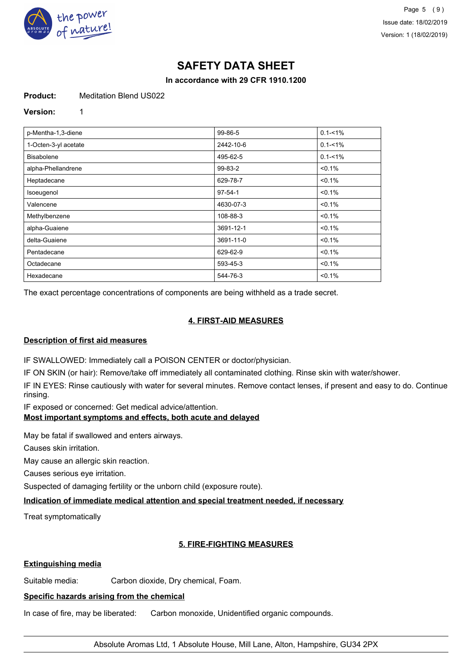

## **In accordance with 29 CFR 1910.1200**

#### **Product:** Meditation Blend US022

#### **Version:** 1

| p-Mentha-1,3-diene   | 99-86-5       | $0.1 - 1\%$ |
|----------------------|---------------|-------------|
| 1-Octen-3-yl acetate | 2442-10-6     | $0.1 - 1\%$ |
| <b>Bisabolene</b>    | 495-62-5      | $0.1 - 1\%$ |
| alpha-Phellandrene   | 99-83-2       | $< 0.1\%$   |
| Heptadecane          | 629-78-7      | $< 0.1\%$   |
| Isoeugenol           | $97 - 54 - 1$ | $< 0.1\%$   |
| Valencene            | 4630-07-3     | $< 0.1\%$   |
| Methylbenzene        | 108-88-3      | $< 0.1\%$   |
| alpha-Guaiene        | 3691-12-1     | $< 0.1\%$   |
| delta-Guaiene        | 3691-11-0     | $< 0.1\%$   |
| Pentadecane          | 629-62-9      | $< 0.1\%$   |
| Octadecane           | 593-45-3      | $< 0.1\%$   |
| Hexadecane           | 544-76-3      | < 0.1%      |

The exact percentage concentrations of components are being withheld as a trade secret.

## **4. FIRST-AID MEASURES**

## **Description of first aid measures**

IF SWALLOWED: Immediately call a POISON CENTER or doctor/physician.

IF ON SKIN (or hair): Remove/take off immediately all contaminated clothing. Rinse skin with water/shower.

IF IN EYES: Rinse cautiously with water for several minutes. Remove contact lenses, if present and easy to do. Continue rinsing.

IF exposed or concerned: Get medical advice/attention.

## **Most important symptoms and effects, both acute and delayed**

May be fatal if swallowed and enters airways.

Causes skin irritation.

May cause an allergic skin reaction.

Causes serious eye irritation.

Suspected of damaging fertility or the unborn child (exposure route).

## **Indication of immediate medical attention and special treatment needed, if necessary**

Treat symptomatically

## **5. FIRE-FIGHTING MEASURES**

## **Extinguishing media**

Suitable media: Carbon dioxide, Dry chemical, Foam.

## **Specific hazards arising from the chemical**

In case of fire, may be liberated: Carbon monoxide, Unidentified organic compounds.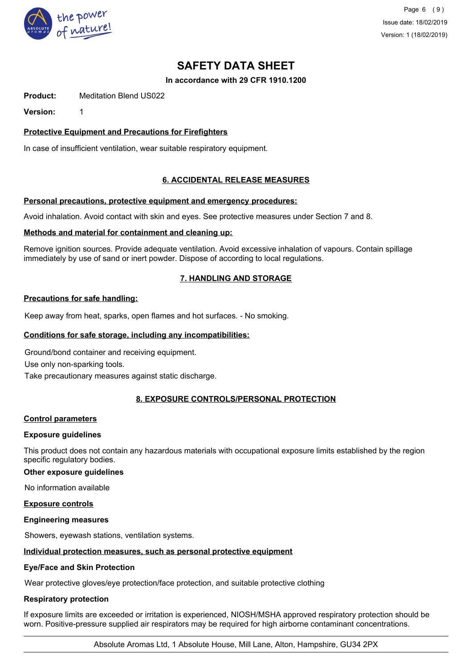

Page 6 (9) Issue date: 18/02/2019 Version: 1 (18/02/2019)

## **SAFETY DATA SHEET**

## **In accordance with 29 CFR 1910.1200**

**Product:** Meditation Blend US022

**Version:** 1

## **Protective Equipment and Precautions for Firefighters**

In case of insufficient ventilation, wear suitable respiratory equipment.

## **6. ACCIDENTAL RELEASE MEASURES**

#### **Personal precautions, protective equipment and emergency procedures:**

Avoid inhalation. Avoid contact with skin and eyes. See protective measures under Section 7 and 8.

#### **Methods and material for containment and cleaning up:**

Remove ignition sources. Provide adequate ventilation. Avoid excessive inhalation of vapours. Contain spillage immediately by use of sand or inert powder. Dispose of according to local regulations.

## **7. HANDLING AND STORAGE**

## **Precautions for safe handling:**

Keep away from heat, sparks, open flames and hot surfaces. - No smoking.

### **Conditions for safe storage, including any incompatibilities:**

Ground/bond container and receiving equipment. Use only non-sparking tools.

Take precautionary measures against static discharge.

## **8. EXPOSURE CONTROLS/PERSONAL PROTECTION**

#### **Control parameters**

## **Exposure guidelines**

This product does not contain any hazardous materials with occupational exposure limits established by the region specific regulatory bodies.

### **Other exposure guidelines**

No information available

#### **Exposure controls**

#### **Engineering measures**

Showers, eyewash stations, ventilation systems.

## **Individual protection measures, such as personal protective equipment**

#### **Eye/Face and Skin Protection**

Wear protective gloves/eye protection/face protection, and suitable protective clothing

## **Respiratory protection**

If exposure limits are exceeded or irritation is experienced, NIOSH/MSHA approved respiratory protection should be worn. Positive-pressure supplied air respirators may be required for high airborne contaminant concentrations.

Absolute Aromas Ltd, 1 Absolute House, Mill Lane, Alton, Hampshire, GU34 2PX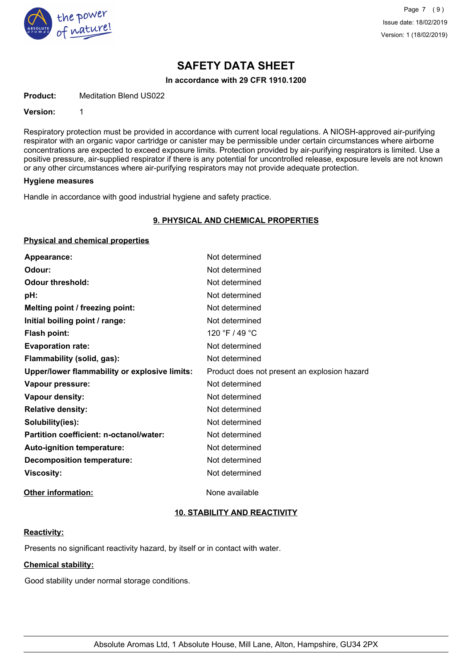

#### **In accordance with 29 CFR 1910.1200**

**Product:** Meditation Blend US022

#### **Version:** 1

Respiratory protection must be provided in accordance with current local regulations. A NIOSH-approved air-purifying respirator with an organic vapor cartridge or canister may be permissible under certain circumstances where airborne concentrations are expected to exceed exposure limits. Protection provided by air-purifying respirators is limited. Use a positive pressure, air-supplied respirator if there is any potential for uncontrolled release, exposure levels are not known or any other circumstances where air-purifying respirators may not provide adequate protection.

#### **Hygiene measures**

Handle in accordance with good industrial hygiene and safety practice.

#### **9. PHYSICAL AND CHEMICAL PROPERTIES**

#### **Physical and chemical properties**

| Appearance:                                   | Not determined                               |
|-----------------------------------------------|----------------------------------------------|
| Odour:                                        | Not determined                               |
| <b>Odour threshold:</b>                       | Not determined                               |
| pH:                                           | Not determined                               |
| Melting point / freezing point:               | Not determined                               |
| Initial boiling point / range:                | Not determined                               |
| Flash point:                                  | 120 °F / 49 °C                               |
| <b>Evaporation rate:</b>                      | Not determined                               |
| Flammability (solid, gas):                    | Not determined                               |
| Upper/lower flammability or explosive limits: | Product does not present an explosion hazard |
| Vapour pressure:                              | Not determined                               |
| Vapour density:                               | Not determined                               |
| <b>Relative density:</b>                      | Not determined                               |
| Solubility(ies):                              | Not determined                               |
| Partition coefficient: n-octanol/water:       | Not determined                               |
| Auto-ignition temperature:                    | Not determined                               |
| <b>Decomposition temperature:</b>             | Not determined                               |
| <b>Viscosity:</b>                             | Not determined                               |
| <b>Other information:</b>                     | None available                               |

## **10. STABILITY AND REACTIVITY**

#### **Reactivity:**

Presents no significant reactivity hazard, by itself or in contact with water.

## **Chemical stability:**

Good stability under normal storage conditions.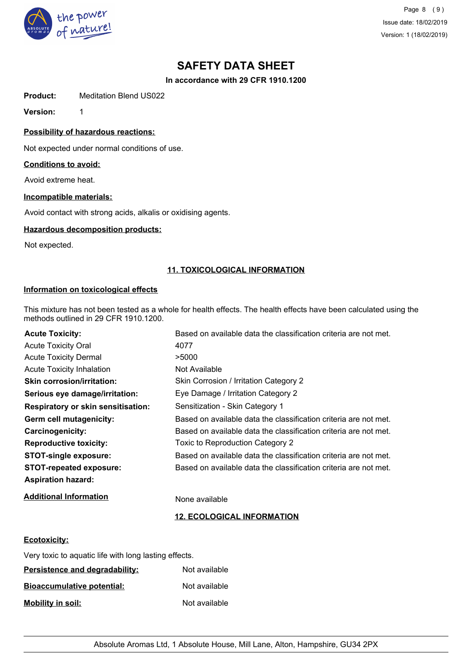

Page 8 (9) Issue date: 18/02/2019 Version: 1 (18/02/2019)

## **SAFETY DATA SHEET**

**In accordance with 29 CFR 1910.1200**

**Product:** Meditation Blend US022

**Version:** 1

**Possibility of hazardous reactions:**

Not expected under normal conditions of use.

#### **Conditions to avoid:**

Avoid extreme heat.

### **Incompatible materials:**

Avoid contact with strong acids, alkalis or oxidising agents.

#### **Hazardous decomposition products:**

Not expected.

#### **11. TOXICOLOGICAL INFORMATION**

#### **Information on toxicological effects**

This mixture has not been tested as a whole for health effects. The health effects have been calculated using the methods outlined in 29 CFR 1910.1200.

| <b>Acute Toxicity:</b>                    | Based on available data the classification criteria are not met. |
|-------------------------------------------|------------------------------------------------------------------|
| <b>Acute Toxicity Oral</b>                | 4077                                                             |
| <b>Acute Toxicity Dermal</b>              | >5000                                                            |
| <b>Acute Toxicity Inhalation</b>          | Not Available                                                    |
| <b>Skin corrosion/irritation:</b>         | Skin Corrosion / Irritation Category 2                           |
| Serious eye damage/irritation:            | Eye Damage / Irritation Category 2                               |
| <b>Respiratory or skin sensitisation:</b> | Sensitization - Skin Category 1                                  |
| Germ cell mutagenicity:                   | Based on available data the classification criteria are not met. |
| Carcinogenicity:                          | Based on available data the classification criteria are not met. |
| <b>Reproductive toxicity:</b>             | Toxic to Reproduction Category 2                                 |
| <b>STOT-single exposure:</b>              | Based on available data the classification criteria are not met. |
| <b>STOT-repeated exposure:</b>            | Based on available data the classification criteria are not met. |
| <b>Aspiration hazard:</b>                 |                                                                  |

**Additional Information** None available

## **12. ECOLOGICAL INFORMATION**

#### **Ecotoxicity:**

| Very toxic to aquatic life with long lasting effects. |               |
|-------------------------------------------------------|---------------|
| Persistence and degradability:                        | Not available |
| <b>Bioaccumulative potential:</b>                     | Not available |
| <b>Mobility in soil:</b>                              | Not available |